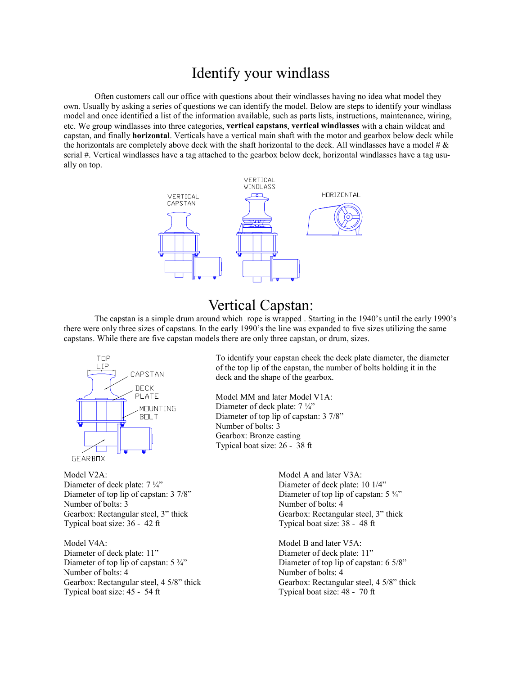## Identify your windlass

 Often customers call our office with questions about their windlasses having no idea what model they own. Usually by asking a series of questions we can identify the model. Below are steps to identify your windlass model and once identified a list of the information available, such as parts lists, instructions, maintenance, wiring, etc. We group windlasses into three categories, **vertical capstans**, **vertical windlasses** with a chain wildcat and capstan, and finally **horizontal**. Verticals have a vertical main shaft with the motor and gearbox below deck while the horizontals are completely above deck with the shaft horizontal to the deck. All windlasses have a model  $\#\&$ serial #. Vertical windlasses have a tag attached to the gearbox below deck, horizontal windlasses have a tag usually on top.



## Vertical Capstan:

 The capstan is a simple drum around which rope is wrapped . Starting in the 1940's until the early 1990's there were only three sizes of capstans. In the early 1990's the line was expanded to five sizes utilizing the same capstans. While there are five capstan models there are only three capstan, or drum, sizes.



Model V2A: Model A and later V3A: Diameter of deck plate:  $7\frac{1}{4}$ " Diameter of deck plate: 10 1/4" Diameter of top lip of capstan: 3 7/8" Diameter of top lip of capstan: 5  $\frac{3}{4}$ " Number of bolts: 3 Number of bolts: 4 Gearbox: Rectangular steel, 3" thick Gearbox: Rectangular steel, 3" thick Typical boat size:  $36 - 42$  ft Typical boat size:  $38 - 48$  ft

Model V4A: Model V4A: Model B and later V5A: Diameter of deck plate: 11" Diameter of deck plate: 11" Diameter of top lip of capstan:  $5\frac{3}{4}$ " Diameter of top lip of capstan:  $6\frac{5}{8}$ " Number of bolts: 4 Number of bolts: 4 Gearbox: Rectangular steel, 4 5/8" thick Gearbox: Rectangular steel, 4 5/8" thick Typical boat size:  $45 - 54$  ft Typical boat size:  $48 - 70$  ft

 To identify your capstan check the deck plate diameter, the diameter of the top lip of the capstan, the number of bolts holding it in the deck and the shape of the gearbox.

 Model MM and later Model V1A: Diameter of deck plate:  $7\frac{1}{4}$ " Diameter of top lip of capstan: 3 7/8" Number of bolts: 3 Gearbox: Bronze casting Typical boat size: 26 - 38 ft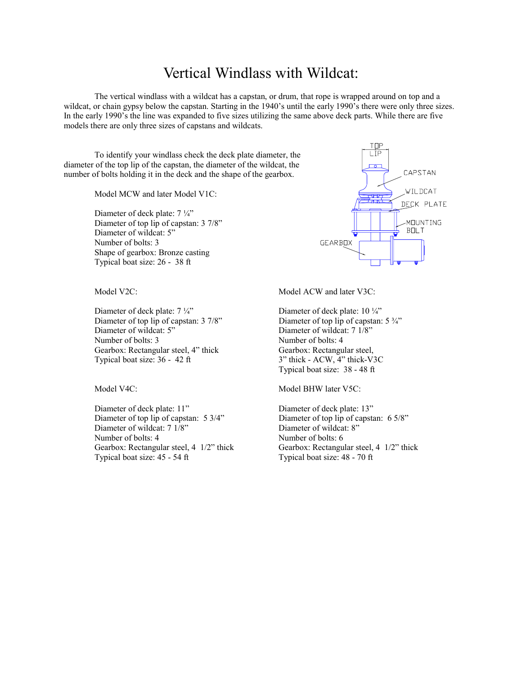## Vertical Windlass with Wildcat:

 The vertical windlass with a wildcat has a capstan, or drum, that rope is wrapped around on top and a wildcat, or chain gypsy below the capstan. Starting in the 1940's until the early 1990's there were only three sizes. In the early 1990's the line was expanded to five sizes utilizing the same above deck parts. While there are five models there are only three sizes of capstans and wildcats.

 To identify your windlass check the deck plate diameter, the diameter of the top lip of the capstan, the diameter of the wildcat, the number of bolts holding it in the deck and the shape of the gearbox.

Model MCW and later Model V1C:

Diameter of deck plate:  $7\frac{1}{4}$  Diameter of top lip of capstan: 3 7/8" Diameter of wildcat: 5" Number of bolts: 3 Shape of gearbox: Bronze casting Typical boat size: 26 - 38 ft

Diameter of deck plate:  $7\frac{1}{4}$ " Diameter of deck plate:  $10\frac{1}{4}$ " Diameter of top lip of capstan: 3 7/8" Diameter of top lip of capstan: 5  $\frac{3}{4}$ " Diameter of wildcat: 5" Diameter of wildcat: 7 1/8" Number of bolts: 3 Number of bolts: 4 Gearbox: Rectangular steel, 4" thick Gearbox: Rectangular steel, Typical boat size:  $36 - 42$  ft  $3$ " thick - ACW,  $4$ " thick-V3C

Diameter of deck plate: 11" Diameter of deck plate: 13" Diameter of top lip of capstan: 5 3/4" Diameter of top lip of capstan: 6 5/8" Diameter of wildcat: 7 1/8" Diameter of wildcat: 8" Number of bolts: 4 Number of bolts: 6 Gearbox: Rectangular steel, 4 1/2" thick Gearbox: Rectangular steel, 4 1/2" thick Typical boat size: 45 - 54 ft Typical boat size: 48 - 70 ft



Model V2C: Model ACW and later V3C:

Typical boat size: 38 - 48 ft

Model V4C: Model BHW later V5C: